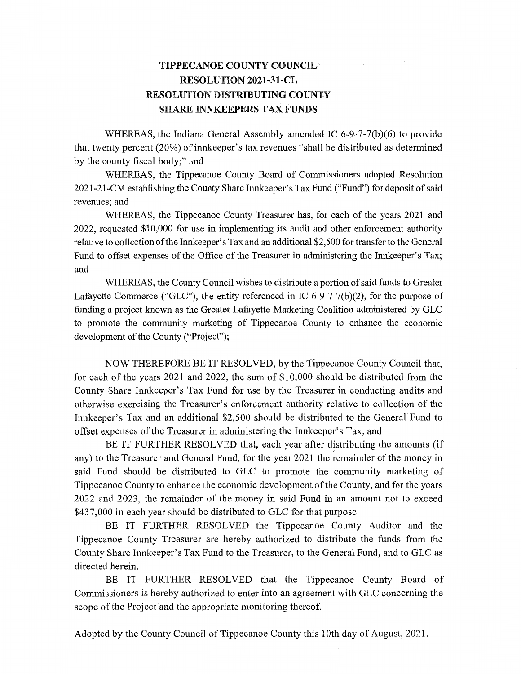## **TIPPECANOE COUNTY** COUNCIL' *-* **RESOLUTION 2021-31-CL RESOLUTION DISTRIBUTING COUNTY SHARE INNKEEPERS** TAX **FUNDS**

WHEREAS, the Indiana General Assembly amended IC 6-9-7-7(b)(6) to provide that twenty percent (20%) of innkeeper's tax revenues "shall be distributed as determined by the county fiscal body;" and

WHEREAS, the Tippecanoe County Board of Commissioners adopted Resolution 2021-21-CM establishing the County Share Innkeeper's Tax Fund **("Fund")** for deposit of Said revenues; and

WHEREAS, the Tippecanoe County Treasurer **has,** for each of the years 2021 and 2022, requested \$10,000 for use in implementing its audit and other enforcement **authority**  relative to collection of the **Innkeeper's** Tax and an additional \$2,500 for transfer to the General Fund to offset expenses of the Office of the Treasurer in administering the Innkeeper's Tax; and *'* 

WHEREAS, the County Council wishes to distribute a **portion** of said funds to Greater Lafayette Commerce ("GLC"), the entity referenced in IC 6-9-7-7(b)(2), for the purpose of funding a project known as the Greater Lafayette Marketing **Coalition** administered by GLC to promote 'the community marketing of Tippecanoe County to **enhance** the economic development of the County ("Project");

NOW THEREFORE BE IT RESOLVED, by the **Tippecanoe** County **Council** that, for each of the years 2021 and 2022, the sum of \$10,000 should be distributed from the County Share Innkeeper's Tax Fund for use by the Treasurer in conducting audits and otherwise exercising the Treasurer's enforcement authority relative to collection of the **Innkeeper's** Tax and an additional \$2,500 **should** be distributed to the General'Fund to offset expenses of the Treasurer in administering the Innkeeper's Tax; and '

BE IT FURTHER RESOLVED that, each year after distributing the amounts (if any) to the Treasurer and General Fund, for the year 2021 the remainder of the money in said Fund should be distributed to GLC to promote the community marketing of Tippecanoe County to enhance the economic development of the County, and for the years 2022 and 2023, the remainder of the money in said Fund in an **amount** not to exceed \$437,000 in each year should be distributed to GLC for **that** purpose.

BE IT FURTHER RESOLVED the Tippecanoe County Auditor and the Tippecanoe County Treasurer are hereby authorized to distribute the funds **from** the County Share Innkeeper's Tax Fund to the Treasurer, to the General Fund, and to GLC as directed **herein.** *'* 

BE IT FURTHER RESOLVED that the Tippecanoe County Board of Commissioners is hereby authorized to enter into an agreement with GLC concerning the scope of the Project and the appropriate monitoring thereof.

' Adopted by the County Council of Tippecanoe County this 10th day of August, 2021.